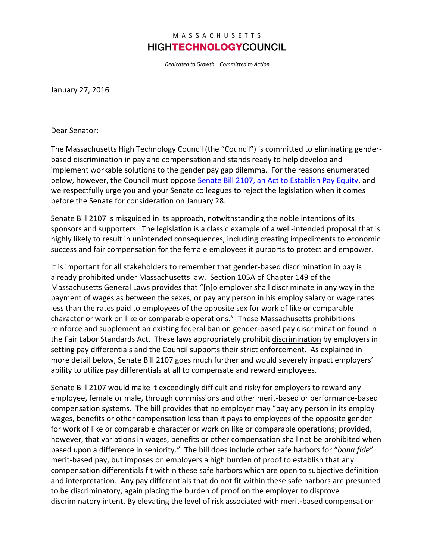## MASSACHUSETTS **HIGHTECHNOLOGYCOUNCIL**

Dedicated to Growth... Committed to Action

January 27, 2016

Dear Senator:

The Massachusetts High Technology Council (the "Council") is committed to eliminating genderbased discrimination in pay and compensation and stands ready to help develop and implement workable solutions to the gender pay gap dilemma. For the reasons enumerated below, however, the Council must oppose [Senate Bill 2107, an Act to Establish Pay Equity,](https://malegislature.gov/Bills/189/Senate/S983) and we respectfully urge you and your Senate colleagues to reject the legislation when it comes before the Senate for consideration on January 28.

Senate Bill 2107 is misguided in its approach, notwithstanding the noble intentions of its sponsors and supporters. The legislation is a classic example of a well-intended proposal that is highly likely to result in unintended consequences, including creating impediments to economic success and fair compensation for the female employees it purports to protect and empower.

It is important for all stakeholders to remember that gender-based discrimination in pay is already prohibited under Massachusetts law. Section 105A of Chapter 149 of the Massachusetts General Laws provides that "[n]o employer shall discriminate in any way in the payment of wages as between the sexes, or pay any person in his employ salary or wage rates less than the rates paid to employees of the opposite sex for work of like or comparable character or work on like or comparable operations." These Massachusetts prohibitions reinforce and supplement an existing federal ban on gender-based pay discrimination found in the Fair Labor Standards Act. These laws appropriately prohibit discrimination by employers in setting pay differentials and the Council supports their strict enforcement. As explained in more detail below, Senate Bill 2107 goes much further and would severely impact employers' ability to utilize pay differentials at all to compensate and reward employees.

Senate Bill 2107 would make it exceedingly difficult and risky for employers to reward any employee, female or male, through commissions and other merit-based or performance-based compensation systems. The bill provides that no employer may "pay any person in its employ wages, benefits or other compensation less than it pays to employees of the opposite gender for work of like or comparable character or work on like or comparable operations; provided, however, that variations in wages, benefits or other compensation shall not be prohibited when based upon a difference in seniority." The bill does include other safe harbors for "*bona fide*" merit-based pay, but imposes on employers a high burden of proof to establish that any compensation differentials fit within these safe harbors which are open to subjective definition and interpretation. Any pay differentials that do not fit within these safe harbors are presumed to be discriminatory, again placing the burden of proof on the employer to disprove discriminatory intent. By elevating the level of risk associated with merit-based compensation